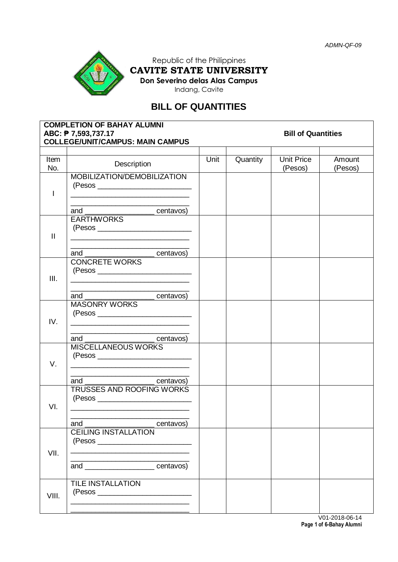

Republic of the Philippines **CAVITE STATE UNIVERSITY Don Severino delas Alas Campus**

Indang, Cavite

# **BILL OF QUANTITIES**

|              | <b>COMPLETION OF BAHAY ALUMNI</b><br>ABC: ₱ 7,593,737.17<br><b>COLLEGE/UNIT/CAMPUS: MAIN CAMPUS</b>                                                                                                                                                              | <b>Bill of Quantities</b> |          |                              |                   |  |  |
|--------------|------------------------------------------------------------------------------------------------------------------------------------------------------------------------------------------------------------------------------------------------------------------|---------------------------|----------|------------------------------|-------------------|--|--|
| Item<br>No.  | Description                                                                                                                                                                                                                                                      | Unit                      | Quantity | <b>Unit Price</b><br>(Pesos) | Amount<br>(Pesos) |  |  |
| I            | MOBILIZATION/DEMOBILIZATION<br>the control of the control of the control of the control of the control of                                                                                                                                                        |                           |          |                              |                   |  |  |
| $\mathbf{H}$ | and _______________________centavos)<br><b>EARTHWORKS</b><br><u> 1989 - Johann Stoff, deutscher Stoffen und der Stoffen und der Stoffen und der Stoffen und der Stoffen und der</u><br>and<br>centavos)                                                          |                           |          |                              |                   |  |  |
| III.         | <b>CONCRETE WORKS</b><br><u> 1989 - Johann Stein, mars an deus Amerikaansk kommunister (</u><br><u> 1989 - Jan James James Barnett, amerikan bisa di sebagai pertama dan bagi pertama dan bagi pertama dan bagi </u><br>and ___________________________centavos) |                           |          |                              |                   |  |  |
| IV.          | <b>MASONRY WORKS</b>                                                                                                                                                                                                                                             |                           |          |                              |                   |  |  |
| V.           | and __________________________centavos)<br>MISCELLANEOUS WORKS<br><u> 1989 - Johann Stoff, deutscher Stoffen und der Stoffen und der Stoffen und der Stoffen und der Stoffen und der</u><br>and<br>centavos)                                                     |                           |          |                              |                   |  |  |
| VI.          | TRUSSES AND ROOFING WORKS                                                                                                                                                                                                                                        |                           |          |                              |                   |  |  |
| VII.         | centavos)<br>and<br><b>CEILING INSTALLATION</b><br>and ______________________centavos)                                                                                                                                                                           |                           |          |                              |                   |  |  |
| VIII.        | <b>TILE INSTALLATION</b>                                                                                                                                                                                                                                         |                           |          |                              |                   |  |  |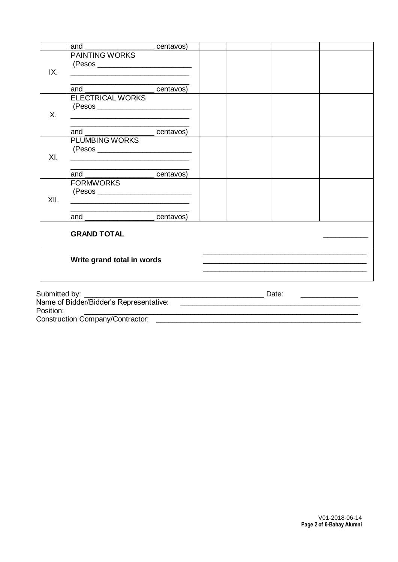|               | and                                                              | ______ centavos) |                                               |  |  |  |  |  |
|---------------|------------------------------------------------------------------|------------------|-----------------------------------------------|--|--|--|--|--|
| IX.           | <b>PAINTING WORKS</b>                                            |                  |                                               |  |  |  |  |  |
|               | and _________________________centavos)                           |                  |                                               |  |  |  |  |  |
| Χ.            | <b>ELECTRICAL WORKS</b><br>$(Pesos \_$                           |                  |                                               |  |  |  |  |  |
|               | and __________________________centavos)                          |                  |                                               |  |  |  |  |  |
| XI.           | <b>PLUMBING WORKS</b>                                            |                  |                                               |  |  |  |  |  |
|               | and                                                              | centavos)        |                                               |  |  |  |  |  |
| XII.          | <b>FORMWORKS</b><br><u> 1980 - Jan Samuel Barbara, martin di</u> |                  |                                               |  |  |  |  |  |
|               | and centavos)                                                    |                  |                                               |  |  |  |  |  |
|               | <b>GRAND TOTAL</b>                                               |                  |                                               |  |  |  |  |  |
|               | Write grand total in words                                       |                  |                                               |  |  |  |  |  |
|               |                                                                  |                  |                                               |  |  |  |  |  |
| Submitted by: |                                                                  |                  | <u> 1989 - Andrea Andrew Maria III (b. 19</u> |  |  |  |  |  |
| Position:     |                                                                  |                  |                                               |  |  |  |  |  |
|               | <b>Construction Company/Contractor:</b>                          |                  |                                               |  |  |  |  |  |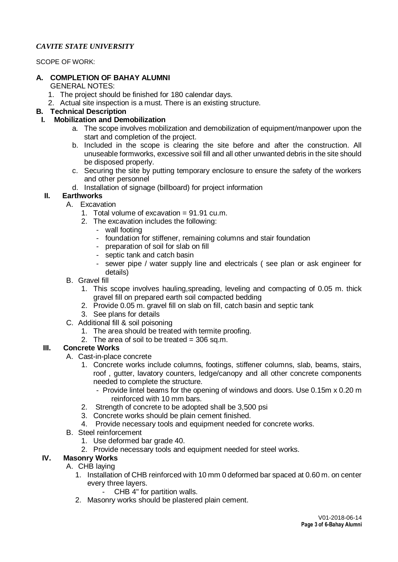#### *CAVITE STATE UNIVERSITY*

SCOPE OF WORK:

#### **A. COMPLETION OF BAHAY ALUMNI**

GENERAL NOTES:

- 1. The project should be finished for 180 calendar days.
- 2. Actual site inspection is a must. There is an existing structure.

# **B. Technical Description**

#### **I. Mobilization and Demobilization**

- a. The scope involves mobilization and demobilization of equipment/manpower upon the start and completion of the project.
- b. Included in the scope is clearing the site before and after the construction. All unuseable formworks, excessive soil fill and all other unwanted debris in the site should be disposed properly.
- c. Securing the site by putting temporary enclosure to ensure the safety of the workers and other personnel
- d. Installation of signage (billboard) for project information

#### **II. Earthworks**

- A. Excavation
	- 1. Total volume of excavation = 91.91 cu.m.
	- 2. The excavation includes the following:
		- wall footing
			- foundation for stiffener, remaining columns and stair foundation
			- preparation of soil for slab on fill
			- septic tank and catch basin
			- sewer pipe / water supply line and electricals ( see plan or ask engineer for details)
- B. Gravel fill
	- 1. This scope involves hauling,spreading, leveling and compacting of 0.05 m. thick gravel fill on prepared earth soil compacted bedding
	- 2. Provide 0.05 m. gravel fill on slab on fill, catch basin and septic tank
	- 3. See plans for details
- C. Additional fill & soil poisoning
	- 1. The area should be treated with termite proofing.
	- 2. The area of soil to be treated  $=$  306 sq.m.

# **III. Concrete Works**

- A. Cast-in-place concrete
	- 1. Concrete works include columns, footings, stiffener columns, slab, beams, stairs, roof , gutter, lavatory counters, ledge/canopy and all other concrete components needed to complete the structure.
		- Provide lintel beams for the opening of windows and doors. Use 0.15m x 0.20 m reinforced with 10 mm bars.
	- 2. Strength of concrete to be adopted shall be 3,500 psi
	- 3. Concrete works should be plain cement finished.
	- 4. Provide necessary tools and equipment needed for concrete works.
- B. Steel reinforcement
	- 1. Use deformed bar grade 40.
	- 2. Provide necessary tools and equipment needed for steel works.

# **IV. Masonry Works**

- A. CHB laying
	- 1. Installation of CHB reinforced with 10 mm 0 deformed bar spaced at 0.60 m. on center every three layers.
		- CHB 4" for partition walls.
	- 2. Masonry works should be plastered plain cement.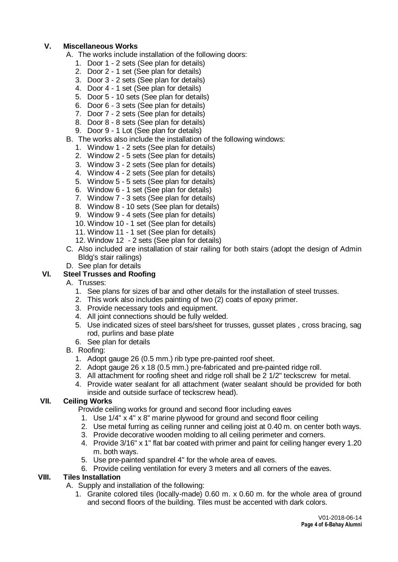### **V. Miscellaneous Works**

- A. The works include installation of the following doors:
	- 1. Door 1 2 sets (See plan for details)
	- 2. Door 2 1 set (See plan for details)
	- 3. Door 3 2 sets (See plan for details)
	- 4. Door 4 1 set (See plan for details)
	- 5. Door 5 10 sets (See plan for details)
	- 6. Door 6 3 sets (See plan for details)
	- 7. Door 7 2 sets (See plan for details)
	- 8. Door 8 8 sets (See plan for details)
	- 9. Door 9 1 Lot (See plan for details)
- B. The works also include the installation of the following windows:
	- 1. Window 1 2 sets (See plan for details)
	- 2. Window 2 5 sets (See plan for details)
	- 3. Window 3 2 sets (See plan for details)
	- 4. Window 4 2 sets (See plan for details)
	- 5. Window 5 5 sets (See plan for details)
	- 6. Window 6 1 set (See plan for details)
	- 7. Window 7 3 sets (See plan for details)
	- 8. Window 8 10 sets (See plan for details)
	- 9. Window 9 4 sets (See plan for details)
	- 10. Window 10 1 set (See plan for details)
	- 11. Window 11 1 set (See plan for details)
	- 12. Window 12 2 sets (See plan for details)
- C. Also included are installation of stair railing for both stairs (adopt the design of Admin Bldg's stair railings)
- D. See plan for details

#### **VI. Steel Trusses and Roofing**

- A. Trusses:
	- 1. See plans for sizes of bar and other details for the installation of steel trusses.
	- 2. This work also includes painting of two (2) coats of epoxy primer.
	- 3. Provide necessary tools and equipment.
	- 4. All joint connections should be fully welded.
	- 5. Use indicated sizes of steel bars/sheet for trusses, gusset plates , cross bracing, sag rod, purlins and base plate
	- 6. See plan for details
- B. Roofing:
	- 1. Adopt gauge 26 (0.5 mm.) rib type pre-painted roof sheet.
	- 2. Adopt gauge 26 x 18 (0.5 mm.) pre-fabricated and pre-painted ridge roll.
	- 3. All attachment for roofing sheet and ridge roll shall be 2 1/2" teckscrew for metal.
	- 4. Provide water sealant for all attachment (water sealant should be provided for both inside and outside surface of teckscrew head).

#### **VII. Ceiling Works**

Provide ceiling works for ground and second floor including eaves

- 1. Use 1/4" x 4" x 8" marine plywood for ground and second floor ceiling
- 2. Use metal furring as ceiling runner and ceiling joist at 0.40 m. on center both ways.
- 3. Provide decorative wooden molding to all ceiling perimeter and corners.
- 4. Provide 3/16" x 1" flat bar coated with primer and paint for ceiling hanger every 1.20 m. both ways.
- 5. Use pre-painted spandrel 4" for the whole area of eaves.
- 6. Provide ceiling ventilation for every 3 meters and all corners of the eaves.

#### **VIII. Tiles Installation**

- A. Supply and installation of the following:
	- 1. Granite colored tiles (locally-made) 0.60 m. x 0.60 m. for the whole area of ground and second floors of the building. Tiles must be accented with dark colors.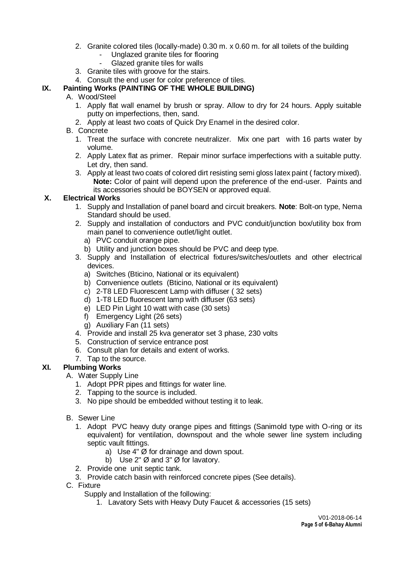- 2. Granite colored tiles (locally-made) 0.30 m. x 0.60 m. for all toilets of the building
	- Unglazed granite tiles for flooring
	- Glazed granite tiles for walls
- 3. Granite tiles with groove for the stairs.
- 4. Consult the end user for color preference of tiles.

# **IX. Painting Works (PAINTING OF THE WHOLE BUILDING)**

# A. Wood/Steel

- 1. Apply flat wall enamel by brush or spray. Allow to dry for 24 hours. Apply suitable putty on imperfections, then, sand.
- 2. Apply at least two coats of Quick Dry Enamel in the desired color.

# B. Concrete

- 1. Treat the surface with concrete neutralizer. Mix one part with 16 parts water by volume.
- 2. Apply Latex flat as primer. Repair minor surface imperfections with a suitable putty. Let dry, then sand.
- 3. Apply at least two coats of colored dirt resisting semi gloss latex paint ( factory mixed). **Note:** Color of paint will depend upon the preference of the end-user. Paints and its accessories should be BOYSEN or approved equal.

# **X. Electrical Works**

- 1. Supply and Installation of panel board and circuit breakers. **Note**: Bolt-on type, Nema Standard should be used.
- 2. Supply and installation of conductors and PVC conduit/junction box/utility box from main panel to convenience outlet/light outlet.
	- a) PVC conduit orange pipe.
	- b) Utility and junction boxes should be PVC and deep type.
- 3. Supply and Installation of electrical fixtures/switches/outlets and other electrical devices.
	- a) Switches (Bticino, National or its equivalent)
	- b) Convenience outlets (Bticino, National or its equivalent)
	- c) 2-T8 LED Fluorescent Lamp with diffuser ( 32 sets)
	- d) 1-T8 LED fluorescent lamp with diffuser (63 sets)
	- e) LED Pin Light 10 watt with case (30 sets)
	- f) Emergency Light (26 sets)
	- g) Auxiliary Fan (11 sets)
- 4. Provide and install 25 kva generator set 3 phase, 230 volts
- 5. Construction of service entrance post
- 6. Consult plan for details and extent of works.
- 7. Tap to the source.

# **XI. Plumbing Works**

- A. Water Supply Line
	- 1. Adopt PPR pipes and fittings for water line.
	- 2. Tapping to the source is included.
	- 3. No pipe should be embedded without testing it to leak.
- B. Sewer Line
	- 1. Adopt PVC heavy duty orange pipes and fittings (Sanimold type with O-ring or its equivalent) for ventilation, downspout and the whole sewer line system including septic vault fittings.
		- a) Use 4" Ø for drainage and down spout.
		- b) Use 2"  $\varnothing$  and 3"  $\varnothing$  for lavatory.
	- 2. Provide one unit septic tank.
	- 3. Provide catch basin with reinforced concrete pipes (See details).
- C. Fixture

Supply and Installation of the following:

1. Lavatory Sets with Heavy Duty Faucet & accessories (15 sets)